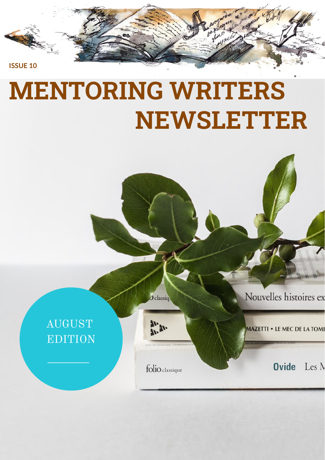

# **MENTORING WRITERS NEWSLETTER**

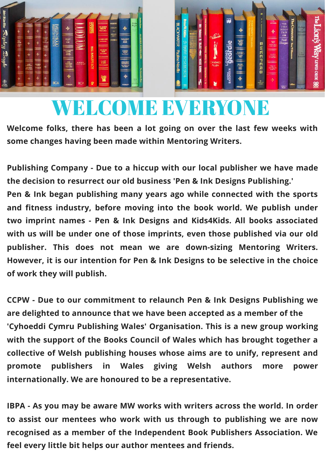



## WELCOME EVERYONE

**Welcome folks, there has been a lot going on over the last few weeks with some changes having been made within Mentoring Writers.**

**Publishing Company - Due to a hiccup with our local publisher we have made the decision to resurrect our old business 'Pen & Ink Designs Publishing.' Pen & Ink began publishing many years ago while connected with the sports and fitness industry, before moving into the book world. We publish under two imprint names - Pen & Ink Designs and Kids4Kids. All books associated with us will be under one of those imprints, even those published via our old publisher. This does not mean we are down-sizing Mentoring Writers. However, it is our intention for Pen & Ink Designs to be selective in the choice of work they will publish.**

**CCPW - Due to our commitment to relaunch Pen & Ink Designs Publishing we are delighted to announce that we have been accepted as a member of the 'Cyhoeddi Cymru Publishing Wales' Organisation. This is a new group working with the support of the Books Council of Wales which has brought together a collective of Welsh publishing houses whose aims are to unify, represent and promote publishers in Wales giving Welsh authors more power internationally. We are honoured to be a representative.**

**IBPA - As you may be aware MW works with writers across the world. In order to assist our mentees who work with us through to publishing we are now recognised as a member of the Independent Book Publishers Association. We feel every little bit helps our author mentees and friends.**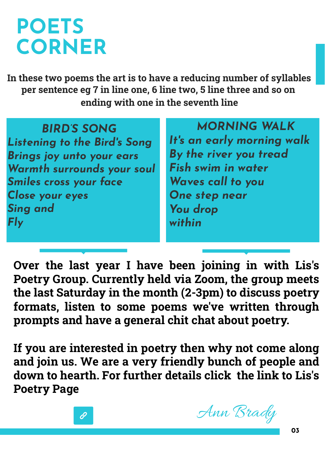## **POETS CORNER**

**In these two poems the art is to have a reducing number of syllables per sentence eg 7 in line one, 6 line two, 5 line three and so on ending with one in the seventh line**

| <b>BIRD'S SONG</b>                  | M              |
|-------------------------------------|----------------|
| <b>Listening to the Bird's Song</b> | It's an e      |
| <b>Brings joy unto your ears</b>    | By the r       |
| Warmth surrounds your soul          | Fish swi       |
| <b>Smiles cross your face</b>       | <b>Waves</b>   |
| Close your eyes                     | <b>One ste</b> |
| <b>Sing and</b>                     | <b>You dro</b> |
| <b>Fly</b>                          | within         |
|                                     |                |

*MORNING WALK s an early morning walk By the river you tread Fish swim in water Waves call to you* **p** *near You drop*

**Over the last year I have been joining in with Lis's Poetry Group. Currently held via Zoom, the group meets the last Saturday in the month (2-3pm) to discuss poetry formats, listen to some poems we've written through prompts and have a general chit chat about poetry.**

**If you are interested in poetry then why not come along and join us. We are a very friendly bunch of people and down to hearth. For further details click the link to Lis's Poetry Page**



Ann Brady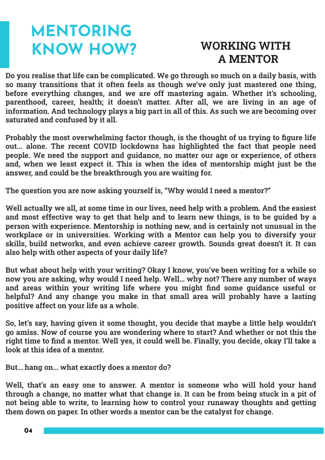## **MENTORING KNOW HOW? WORKING WITH**

## **A MENTOR**

**Do you realise that life can be complicated. We go through so much on a daily basis, with so many transitions that it often feels as though we've only just mastered one thing, before everything changes, and we are off mastering again. Whether it's schooling, parenthood, career, health; it doesn't matter. After all, we are living in an age of information. And technology plays a big part in all of this. As such we are becoming over saturated and confused by it all.** 

**Probably the most overwhelming factor though, is the thought of us trying to figure life out... alone. The recent COVID lockdowns has highlighted the fact that people need people. We need the support and guidance, no matter our age or experience, of others and, when we least expect it. This is when the idea of mentorship might just be the answer, and could be the breakthrough you are waiting for.**

**The question you are now asking yourself is, "Why would I need a mentor?"**

**Well actually we all, at some time in our lives, need help with a problem. And the easiest and most effective way to get that help and to learn new things, is to be guided by a person with experience. Mentorship is nothing new, and is certainly not unusual in the workplace or in universities. Working with a Mentor can help you to diversify your skills, build networks, and even achieve career growth. Sounds great doesn't it. It can also help with other aspects of your daily life?**

**But what about help with your writing? Okay I know, you've been writing for a while so now you are asking, why would I need help. Well… why not? There any number of ways and areas within your writing life where you might find some guidance useful or helpful? And any change you make in that small area will probably have a lasting positive affect on your life as a whole.** 

**So, let's say, having given it some thought, you decide that maybe a little help wouldn't go amiss. Now of course you are wondering where to start? And whether or not this the right time to find a mentor. Well yes, it could well be. Finally, you decide, okay I'll take a look at this idea of a mentor.** 

**But… hang on… what exactly does a mentor do?**

**Well, that's an easy one to answer. A mentor is someone who will hold your hand through a change, no matter what that change is. It can be from being stuck in a pit of not being able to write, to learning how to control your runaway thoughts and getting them down on paper. In other words a mentor can be the catalyst for change.**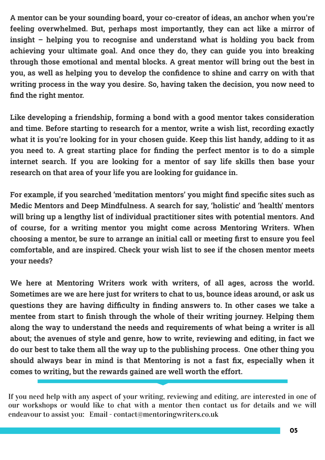**A mentor can be your sounding board, your co-creator of ideas, an anchor when you're feeling overwhelmed. But, perhaps most importantly, they can act like a mirror of insight – helping you to recognise and understand what is holding you back from achieving your ultimate goal. And once they do, they can guide you into breaking through those emotional and mental blocks. A great mentor will bring out the best in you, as well as helping you to develop the confidence to shine and carry on with that writing process in the way you desire. So, having taken the decision, you now need to find the right mentor.**

**Like developing a friendship, forming a bond with a good mentor takes consideration and time. Before starting to research for a mentor, write a wish list, recording exactly what it is you're looking for in your chosen guide. Keep this list handy, adding to it as you need to. A great starting place for finding the perfect mentor is to do a simple internet search. If you are looking for a mentor of say life skills then base your research on that area of your life you are looking for guidance in.**

**For example, if you searched 'meditation mentors' you might find specific sites such as Medic Mentors and Deep Mindfulness. A search for say, 'holistic' and 'health' mentors will bring up a lengthy list of individual practitioner sites with potential mentors. And of course, for a writing mentor you might come across Mentoring Writers. When choosing a mentor, be sure to arrange an initial call or meeting first to ensure you feel comfortable, and are inspired. Check your wish list to see if the chosen mentor meets your needs?**

**We here at Mentoring Writers work with writers, of all ages, across the world. Sometimes are we are here just for writers to chat to us, bounce ideas around, or ask us questions they are having difficulty in finding answers to. In other cases we take a mentee from start to finish through the whole of their writing journey. Helping them along the way to understand the needs and requirements of what being a writer is all about; the avenues of style and genre, how to write, reviewing and editing, in fact we do our best to take them all the way up to the publishing process. One other thing you should always bear in mind is that Mentoring is not a fast fix, especially when it comes to writing, but the rewards gained are well worth the effort.**

If you need help with any aspect of your writing, reviewing and editing, are interested in one of our workshops or would like to chat with a mentor then contact us for details and we will endeavour to assist you: Email - contact@mentoringwriters.co.uk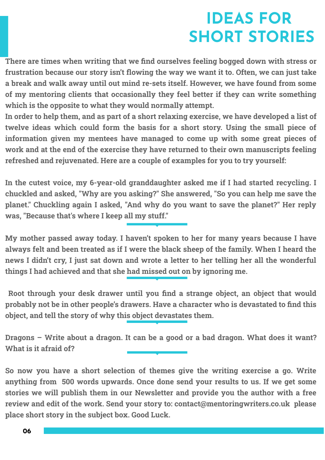### **IDEAS FOR SHORT STORIES**

**There are times when writing that we find ourselves feeling bogged down with stress or frustration because our story isn't flowing the way we want it to. Often, we can just take a break and walk away until out mind re-sets itself. However, we have found from some of my mentoring clients that occasionally they feel better if they can write something which is the opposite to what they would normally attempt.**

**In order to help them, and as part of a short relaxing exercise, we have developed a list of twelve ideas which could form the basis for a short story. Using the small piece of information given my mentees have managed to come up with some great pieces of work and at the end of the exercise they have returned to their own manuscripts feeling refreshed and rejuvenated. Here are a couple of examples for you to try yourself:**

**In the cutest voice, my 6-year-old granddaughter asked me if I had started recycling. I chuckled and asked, "Why are you asking?" She answered, "So you can help me save the planet." Chuckling again I asked, "And why do you want to save the planet?" Her reply was, "Because that's where I keep all my stuff."**

**My mother passed away today. I haven't spoken to her for many years because I have always felt and been treated as if I were the black sheep of the family. When I heard the news I didn't cry, I just sat down and wrote a letter to her telling her all the wonderful things I had achieved and that she had missed out on by ignoring me.**

**Root through your desk drawer until you find a strange object, an object that would probably not be in other people's drawers. Have a character who is devastated to find this object, and tell the story of why this object devastates them.**

**Dragons – Write about a dragon. It can be a good or a bad dragon. What does it want? What is it afraid of?**

**So now you have a short selection of themes give the writing exercise a go. Write anything from 500 words upwards. Once done send your results to us. If we get some stories we will publish them in our Newsletter and provide you the author with a free review and edit of the work. Send your story to: contact@mentoringwriters.co.uk please place short story in the subject box. Good Luck.**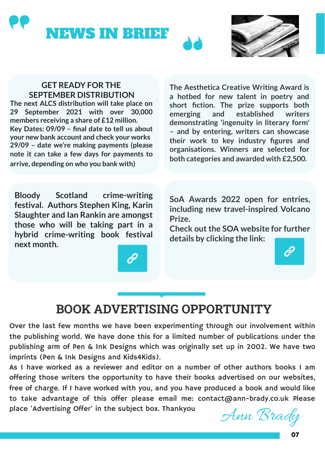



#### **GET READY FOR THE SEPTEMBER DISTRIBUTION**

**The next ALCS distribution will take place on 29 September 2021 with over 30,000 members receiving a share of £12 million. Key Dates: 09/09 – final date to tell us about your new bank account and check your works 29/09 – date we're making payments (please note it can take a few days for payments to arrive, depending on who you bank with)**

**The Aesthetica Creative Writing Award is a hotbed for new talent in poetry and short fiction. The prize supports both emerging and established writers demonstrating 'ingenuity in literary form' – and by entering, writers can showcase their work to key industry figures and organisations. Winners are selected for both categories and awarded with £2,500.**

**Bloody Scotland crime-writing festival. Authors Stephen King, Karin Slaughter and Ian Rankin are amongst those who will be taking part in a hybrid crime-writing book festival next month.** 

**SoA Awards 2022 open for entries, including new travel-inspired Volcano Prize.**

**Check out the SOA website for further details by clicking the link:**

#### **BOOK ADVERTISING OPPORTUNITY**

Over the last few months we have been experimenting through our involvement within the publishing world. We have done this for a limited number of publications under the publishing arm of Pen & Ink Designs which was originally set up in 2002. We have two imprints (Pen & Ink Designs and Kids4Kids).

As I have worked as a reviewer and editor on a number of other authors books I am offering those writers the opportunity to have their books advertised on our websites, free of charge. If I have worked with you, and you have produced a book and would like to take advantage of this offer please email me: contact@ann-brady.co.uk Please place 'Advertising Offer' in the subject box. Thankyou  $\mathcal{M}$  Brady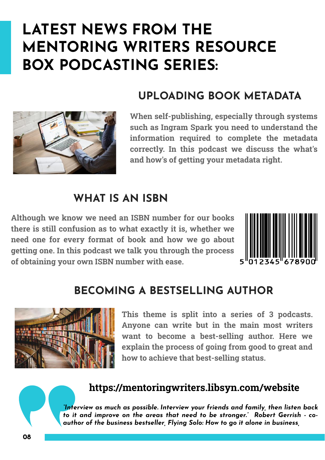### **LATEST NEWS FROM THE MENTORING WRITERS RESOURCE BOX PODCASTING SERIES:**



#### **UPLOADING BOOK METADATA**

**When self-publishing, especially through systems such as Ingram Spark you need to understand the information required to complete the metadata correctly. In this podcast we discuss the what's and how's of getting your metadata right.**

#### **WHAT IS AN ISBN**

**Although we know we need an ISBN number for our books there is still confusion as to what exactly it is, whether we need one for every format of book and how we go about getting one. In this podcast we talk you through the process of obtaining your own ISBN number with ease.**



#### **BECOMING A BESTSELLING AUTHOR**



**This theme is split into a series of 3 podcasts. Anyone can write but in the main most writers want to become a best-selling author. Here we explain the process of going from good to great and how to achieve that best-selling status.**

#### **https://mentoringwriters.libsyn.com/website**

*"Interview as much as possible. Interview your friends and family, then listen back to it and improve on the areas that need to be stronger." Robert Gerrish - coauthor of the business bestseller, Flying Solo: How to go it alone in business,*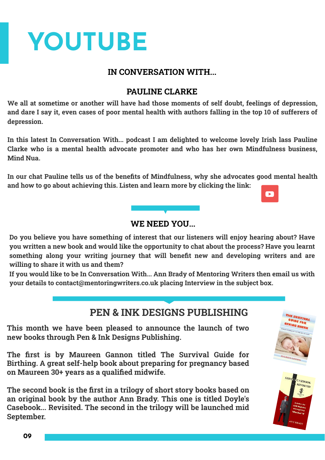# **YOUTUBE**

#### **IN CONVERSATION WITH...**

#### **PAULINE CLARKE**

**We all at sometime or another will have had those moments of self doubt, feelings of depression, and dare I say it, even cases of poor mental health with authors falling in the top 10 of sufferers of depression.** 

**In this latest In Conversation With... podcast I am delighted to welcome lovely Irish lass Pauline Clarke who is a mental health advocate promoter and who has her own Mindfulness business, Mind Nua.** 

**In our chat Pauline tells us of the benefits of Mindfulness, why she advocates good mental health and how to go about achieving this. Listen and learn more by clicking the link:**

 $\blacksquare$ 

**ASEBOOK** REVISITER

#### **WE NEED YOU...**

**Do you believe you have something of interest that our listeners will enjoy hearing about? Have you written a new book and would like the opportunity to chat about the process? Have you learnt something along your writing journey that will benefit new and developing writers and are willing to share it with us and them?**

**If you would like to be In Conversation With... Ann Brady of Mentoring Writers then email us with your details to contact@mentoringwriters.co.uk placing Interview in the subject box.**

#### **PEN & INK DESIGNS PUBLISHING**

**This month we have been pleased to announce the launch of two new books through Pen & Ink Designs Publishing.** 

**The first is by Maureen Gannon titled The Survival Guide for Birthing. A great self-help book about preparing for pregnancy based on Maureen 30+ years as a qualified midwife.**

**The second book is the first in a trilogy of short story books based on an original book by the author Ann Brady. This one is titled Doyle's Casebook... Revisited. The second in the trilogy will be launched mid September.**